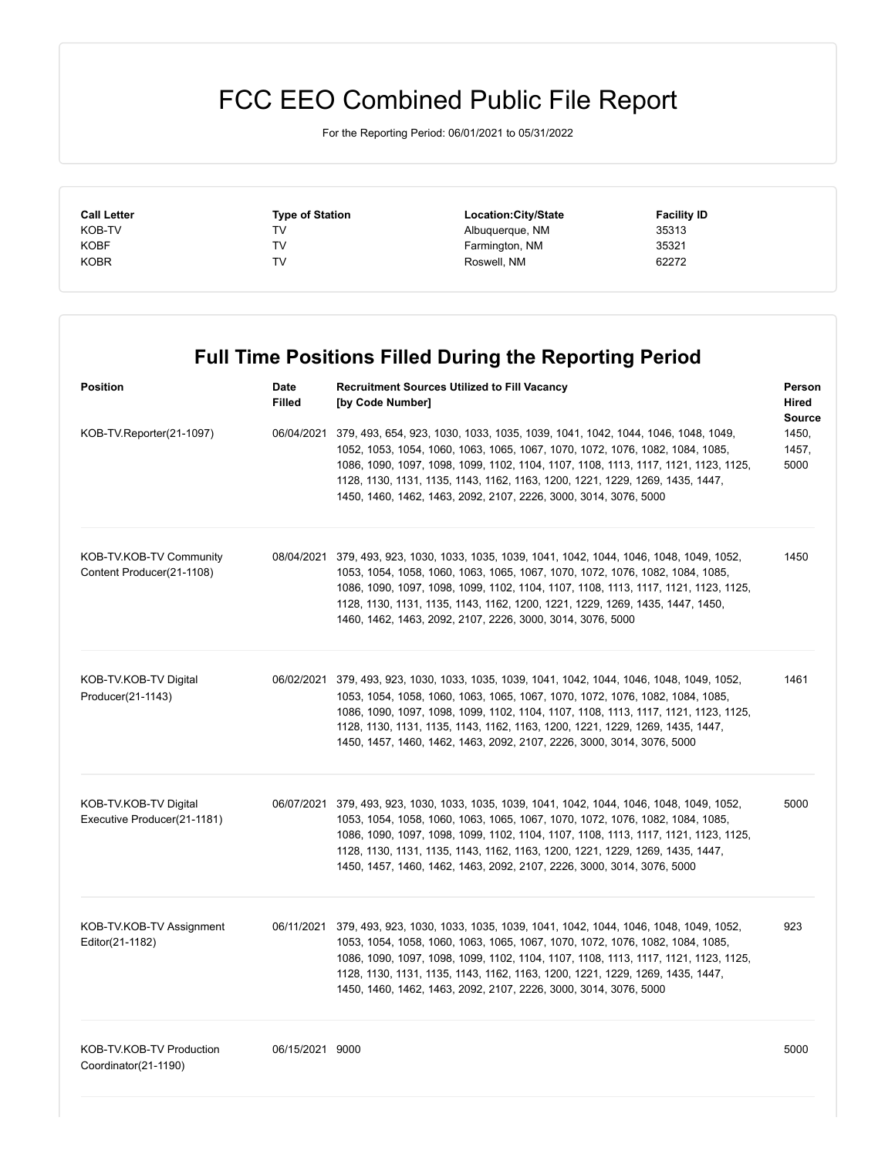## FCC EEO Combined Public File Report

For the Reporting Period: 06/01/2021 to 05/31/2022

| <b>Call Letter</b> | <b>Type of Station</b> | Location:City/State | <b>Facility ID</b> |  |
|--------------------|------------------------|---------------------|--------------------|--|
| KOB-TV             | TV                     | Albuquerque, NM     | 35313              |  |
| <b>KOBF</b>        | TV                     | Farmington, NM      | 35321              |  |
| <b>KOBR</b>        | TV                     | Roswell, NM         | 62272              |  |

|                                                      | <b>Full Time Positions Filled During the Reporting Period</b> |                                                                                                                                                                                                                                                                                                                                                                                                                                |                                  |  |
|------------------------------------------------------|---------------------------------------------------------------|--------------------------------------------------------------------------------------------------------------------------------------------------------------------------------------------------------------------------------------------------------------------------------------------------------------------------------------------------------------------------------------------------------------------------------|----------------------------------|--|
| <b>Position</b>                                      | Date<br><b>Filled</b>                                         | <b>Recruitment Sources Utilized to Fill Vacancy</b><br>[by Code Number]                                                                                                                                                                                                                                                                                                                                                        | Person<br>Hired<br><b>Source</b> |  |
| KOB-TV.Reporter(21-1097)                             |                                                               | 06/04/2021 379, 493, 654, 923, 1030, 1033, 1035, 1039, 1041, 1042, 1044, 1046, 1048, 1049,<br>1052, 1053, 1054, 1060, 1063, 1065, 1067, 1070, 1072, 1076, 1082, 1084, 1085,<br>1086, 1090, 1097, 1098, 1099, 1102, 1104, 1107, 1108, 1113, 1117, 1121, 1123, 1125,<br>1128, 1130, 1131, 1135, 1143, 1162, 1163, 1200, 1221, 1229, 1269, 1435, 1447,<br>1450, 1460, 1462, 1463, 2092, 2107, 2226, 3000, 3014, 3076, 5000        | 1450,<br>1457,<br>5000           |  |
| KOB-TV.KOB-TV Community<br>Content Producer(21-1108) |                                                               | 08/04/2021 379, 493, 923, 1030, 1033, 1035, 1039, 1041, 1042, 1044, 1046, 1048, 1049, 1052,<br>1053, 1054, 1058, 1060, 1063, 1065, 1067, 1070, 1072, 1076, 1082, 1084, 1085,<br>1086, 1090, 1097, 1098, 1099, 1102, 1104, 1107, 1108, 1113, 1117, 1121, 1123, 1125,<br>1128, 1130, 1131, 1135, 1143, 1162, 1200, 1221, 1229, 1269, 1435, 1447, 1450,<br>1460, 1462, 1463, 2092, 2107, 2226, 3000, 3014, 3076, 5000             | 1450                             |  |
| KOB-TV.KOB-TV Digital<br>Producer(21-1143)           |                                                               | 06/02/2021 379, 493, 923, 1030, 1033, 1035, 1039, 1041, 1042, 1044, 1046, 1048, 1049, 1052,<br>1053, 1054, 1058, 1060, 1063, 1065, 1067, 1070, 1072, 1076, 1082, 1084, 1085,<br>1086, 1090, 1097, 1098, 1099, 1102, 1104, 1107, 1108, 1113, 1117, 1121, 1123, 1125,<br>1128, 1130, 1131, 1135, 1143, 1162, 1163, 1200, 1221, 1229, 1269, 1435, 1447,<br>1450, 1457, 1460, 1462, 1463, 2092, 2107, 2226, 3000, 3014, 3076, 5000 | 1461                             |  |
| KOB-TV.KOB-TV Digital<br>Executive Producer(21-1181) |                                                               | 06/07/2021 379, 493, 923, 1030, 1033, 1035, 1039, 1041, 1042, 1044, 1046, 1048, 1049, 1052,<br>1053, 1054, 1058, 1060, 1063, 1065, 1067, 1070, 1072, 1076, 1082, 1084, 1085,<br>1086, 1090, 1097, 1098, 1099, 1102, 1104, 1107, 1108, 1113, 1117, 1121, 1123, 1125,<br>1128, 1130, 1131, 1135, 1143, 1162, 1163, 1200, 1221, 1229, 1269, 1435, 1447,<br>1450, 1457, 1460, 1462, 1463, 2092, 2107, 2226, 3000, 3014, 3076, 5000 | 5000                             |  |
| KOB-TV.KOB-TV Assignment<br>Editor(21-1182)          |                                                               | 06/11/2021 379, 493, 923, 1030, 1033, 1035, 1039, 1041, 1042, 1044, 1046, 1048, 1049, 1052,<br>1053, 1054, 1058, 1060, 1063, 1065, 1067, 1070, 1072, 1076, 1082, 1084, 1085,<br>1086, 1090, 1097, 1098, 1099, 1102, 1104, 1107, 1108, 1113, 1117, 1121, 1123, 1125,<br>1128, 1130, 1131, 1135, 1143, 1162, 1163, 1200, 1221, 1229, 1269, 1435, 1447,<br>1450, 1460, 1462, 1463, 2092, 2107, 2226, 3000, 3014, 3076, 5000       | 923                              |  |
| KOB-TV.KOB-TV Production<br>Coordinator(21-1190)     | 06/15/2021 9000                                               |                                                                                                                                                                                                                                                                                                                                                                                                                                | 5000                             |  |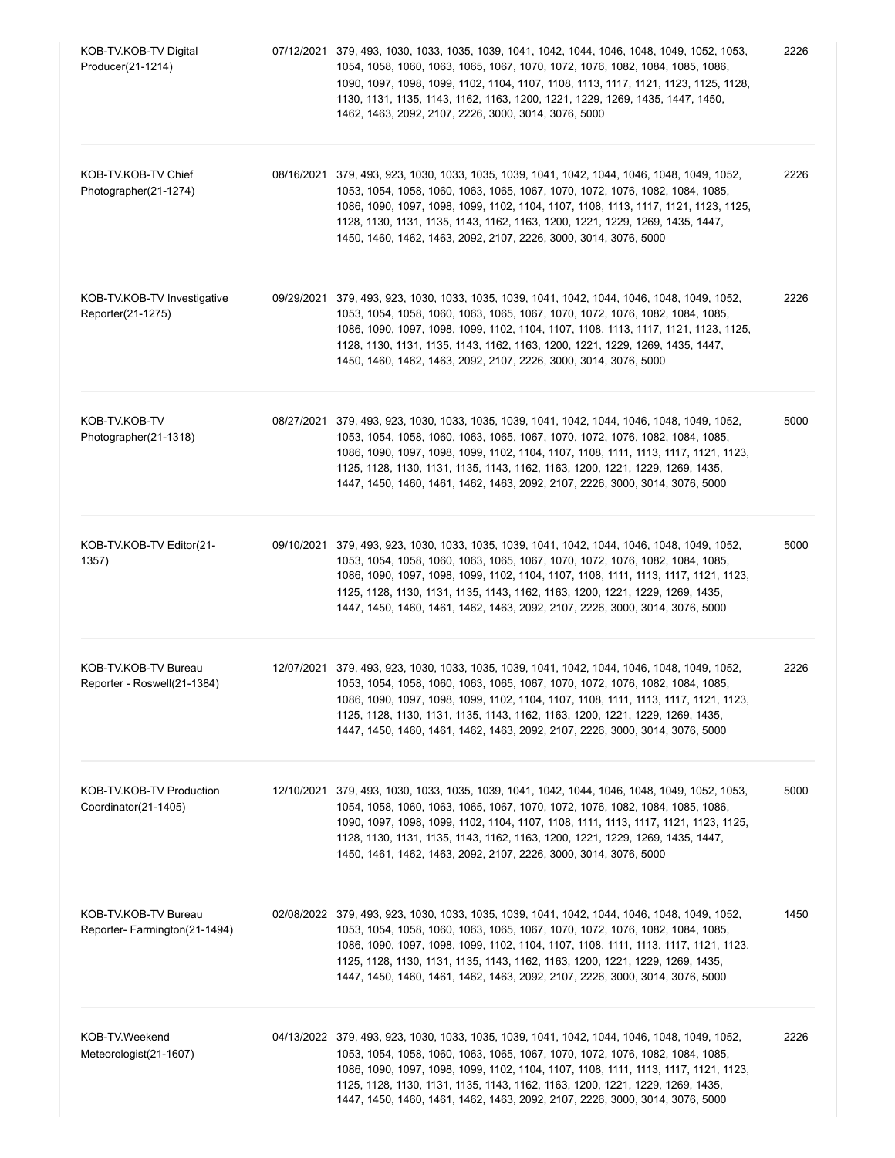| KOB-TV.KOB-TV Digital<br>Producer(21-1214)           | 07/12/2021 379, 493, 1030, 1033, 1035, 1039, 1041, 1042, 1044, 1046, 1048, 1049, 1052, 1053,<br>1054, 1058, 1060, 1063, 1065, 1067, 1070, 1072, 1076, 1082, 1084, 1085, 1086,<br>1090, 1097, 1098, 1099, 1102, 1104, 1107, 1108, 1113, 1117, 1121, 1123, 1125, 1128,<br>1130, 1131, 1135, 1143, 1162, 1163, 1200, 1221, 1229, 1269, 1435, 1447, 1450,<br>1462, 1463, 2092, 2107, 2226, 3000, 3014, 3076, 5000                        | 2226 |
|------------------------------------------------------|--------------------------------------------------------------------------------------------------------------------------------------------------------------------------------------------------------------------------------------------------------------------------------------------------------------------------------------------------------------------------------------------------------------------------------------|------|
| KOB-TV.KOB-TV Chief<br>Photographer(21-1274)         | 08/16/2021 379, 493, 923, 1030, 1033, 1035, 1039, 1041, 1042, 1044, 1046, 1048, 1049, 1052,<br>1053, 1054, 1058, 1060, 1063, 1065, 1067, 1070, 1072, 1076, 1082, 1084, 1085,<br>1086, 1090, 1097, 1098, 1099, 1102, 1104, 1107, 1108, 1113, 1117, 1121, 1123, 1125,<br>1128, 1130, 1131, 1135, 1143, 1162, 1163, 1200, 1221, 1229, 1269, 1435, 1447,<br>1450, 1460, 1462, 1463, 2092, 2107, 2226, 3000, 3014, 3076, 5000             | 2226 |
| KOB-TV.KOB-TV Investigative<br>Reporter(21-1275)     | 09/29/2021 379, 493, 923, 1030, 1033, 1035, 1039, 1041, 1042, 1044, 1046, 1048, 1049, 1052,<br>1053, 1054, 1058, 1060, 1063, 1065, 1067, 1070, 1072, 1076, 1082, 1084, 1085,<br>1086, 1090, 1097, 1098, 1099, 1102, 1104, 1107, 1108, 1113, 1117, 1121, 1123, 1125,<br>1128, 1130, 1131, 1135, 1143, 1162, 1163, 1200, 1221, 1229, 1269, 1435, 1447,<br>1450, 1460, 1462, 1463, 2092, 2107, 2226, 3000, 3014, 3076, 5000             | 2226 |
| KOB-TV.KOB-TV<br>Photographer(21-1318)               | 08/27/2021 379, 493, 923, 1030, 1033, 1035, 1039, 1041, 1042, 1044, 1046, 1048, 1049, 1052,<br>1053, 1054, 1058, 1060, 1063, 1065, 1067, 1070, 1072, 1076, 1082, 1084, 1085,<br>1086, 1090, 1097, 1098, 1099, 1102, 1104, 1107, 1108, 1111, 1113, 1117, 1121, 1123,<br>1125, 1128, 1130, 1131, 1135, 1143, 1162, 1163, 1200, 1221, 1229, 1269, 1435,<br>1447, 1450, 1460, 1461, 1462, 1463, 2092, 2107, 2226, 3000, 3014, 3076, 5000 | 5000 |
| KOB-TV.KOB-TV Editor(21-<br>1357)                    | 09/10/2021 379, 493, 923, 1030, 1033, 1035, 1039, 1041, 1042, 1044, 1046, 1048, 1049, 1052,<br>1053, 1054, 1058, 1060, 1063, 1065, 1067, 1070, 1072, 1076, 1082, 1084, 1085,<br>1086, 1090, 1097, 1098, 1099, 1102, 1104, 1107, 1108, 1111, 1113, 1117, 1121, 1123,<br>1125, 1128, 1130, 1131, 1135, 1143, 1162, 1163, 1200, 1221, 1229, 1269, 1435,<br>1447, 1450, 1460, 1461, 1462, 1463, 2092, 2107, 2226, 3000, 3014, 3076, 5000 | 5000 |
| KOB-TV.KOB-TV Bureau<br>Reporter - Roswell(21-1384)  | 12/07/2021 379, 493, 923, 1030, 1033, 1035, 1039, 1041, 1042, 1044, 1046, 1048, 1049, 1052,<br>1053, 1054, 1058, 1060, 1063, 1065, 1067, 1070, 1072, 1076, 1082, 1084, 1085,<br>1086, 1090, 1097, 1098, 1099, 1102, 1104, 1107, 1108, 1111, 1113, 1117, 1121, 1123,<br>1125, 1128, 1130, 1131, 1135, 1143, 1162, 1163, 1200, 1221, 1229, 1269, 1435,<br>1447, 1450, 1460, 1461, 1462, 1463, 2092, 2107, 2226, 3000, 3014, 3076, 5000 | 2226 |
| KOB-TV.KOB-TV Production<br>Coordinator(21-1405)     | 12/10/2021 379, 493, 1030, 1033, 1035, 1039, 1041, 1042, 1044, 1046, 1048, 1049, 1052, 1053,<br>1054, 1058, 1060, 1063, 1065, 1067, 1070, 1072, 1076, 1082, 1084, 1085, 1086,<br>1090, 1097, 1098, 1099, 1102, 1104, 1107, 1108, 1111, 1113, 1117, 1121, 1123, 1125,<br>1128, 1130, 1131, 1135, 1143, 1162, 1163, 1200, 1221, 1229, 1269, 1435, 1447,<br>1450, 1461, 1462, 1463, 2092, 2107, 2226, 3000, 3014, 3076, 5000            | 5000 |
| KOB-TV.KOB-TV Bureau<br>Reporter-Farmington(21-1494) | 02/08/2022 379, 493, 923, 1030, 1033, 1035, 1039, 1041, 1042, 1044, 1046, 1048, 1049, 1052,<br>1053, 1054, 1058, 1060, 1063, 1065, 1067, 1070, 1072, 1076, 1082, 1084, 1085,<br>1086, 1090, 1097, 1098, 1099, 1102, 1104, 1107, 1108, 1111, 1113, 1117, 1121, 1123,<br>1125, 1128, 1130, 1131, 1135, 1143, 1162, 1163, 1200, 1221, 1229, 1269, 1435,<br>1447, 1450, 1460, 1461, 1462, 1463, 2092, 2107, 2226, 3000, 3014, 3076, 5000 | 1450 |
| KOB-TV.Weekend<br>Meteorologist(21-1607)             | 04/13/2022 379, 493, 923, 1030, 1033, 1035, 1039, 1041, 1042, 1044, 1046, 1048, 1049, 1052,<br>1053, 1054, 1058, 1060, 1063, 1065, 1067, 1070, 1072, 1076, 1082, 1084, 1085,<br>1086, 1090, 1097, 1098, 1099, 1102, 1104, 1107, 1108, 1111, 1113, 1117, 1121, 1123,<br>1125, 1128, 1130, 1131, 1135, 1143, 1162, 1163, 1200, 1221, 1229, 1269, 1435,<br>1447, 1450, 1460, 1461, 1462, 1463, 2092, 2107, 2226, 3000, 3014, 3076, 5000 | 2226 |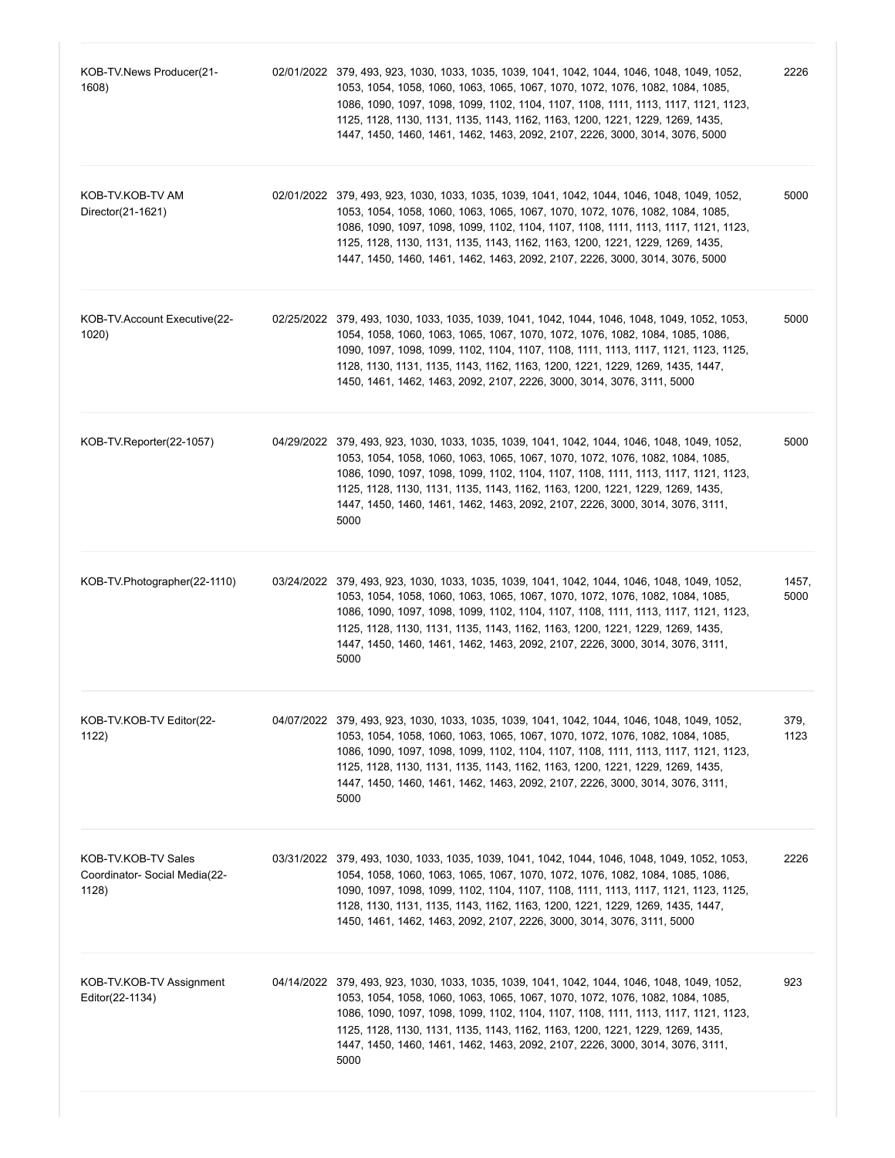| KOB-TV.News Producer(21-<br>1608)                             | 02/01/2022 379, 493, 923, 1030, 1033, 1035, 1039, 1041, 1042, 1044, 1046, 1048, 1049, 1052,<br>1053, 1054, 1058, 1060, 1063, 1065, 1067, 1070, 1072, 1076, 1082, 1084, 1085,<br>1086, 1090, 1097, 1098, 1099, 1102, 1104, 1107, 1108, 1111, 1113, 1117, 1121, 1123,<br>1125, 1128, 1130, 1131, 1135, 1143, 1162, 1163, 1200, 1221, 1229, 1269, 1435,<br>1447, 1450, 1460, 1461, 1462, 1463, 2092, 2107, 2226, 3000, 3014, 3076, 5000          | 2226          |
|---------------------------------------------------------------|-----------------------------------------------------------------------------------------------------------------------------------------------------------------------------------------------------------------------------------------------------------------------------------------------------------------------------------------------------------------------------------------------------------------------------------------------|---------------|
| KOB-TV.KOB-TV AM<br>Director(21-1621)                         | 02/01/2022 379, 493, 923, 1030, 1033, 1035, 1039, 1041, 1042, 1044, 1046, 1048, 1049, 1052,<br>1053, 1054, 1058, 1060, 1063, 1065, 1067, 1070, 1072, 1076, 1082, 1084, 1085,<br>1086, 1090, 1097, 1098, 1099, 1102, 1104, 1107, 1108, 1111, 1113, 1117, 1121, 1123,<br>1125, 1128, 1130, 1131, 1135, 1143, 1162, 1163, 1200, 1221, 1229, 1269, 1435,<br>1447, 1450, 1460, 1461, 1462, 1463, 2092, 2107, 2226, 3000, 3014, 3076, 5000          | 5000          |
| KOB-TV.Account Executive (22-<br>1020)                        | 02/25/2022 379, 493, 1030, 1033, 1035, 1039, 1041, 1042, 1044, 1046, 1048, 1049, 1052, 1053,<br>1054, 1058, 1060, 1063, 1065, 1067, 1070, 1072, 1076, 1082, 1084, 1085, 1086,<br>1090, 1097, 1098, 1099, 1102, 1104, 1107, 1108, 1111, 1113, 1117, 1121, 1123, 1125,<br>1128, 1130, 1131, 1135, 1143, 1162, 1163, 1200, 1221, 1229, 1269, 1435, 1447,<br>1450, 1461, 1462, 1463, 2092, 2107, 2226, 3000, 3014, 3076, 3111, 5000               | 5000          |
| KOB-TV.Reporter(22-1057)                                      | 04/29/2022 379, 493, 923, 1030, 1033, 1035, 1039, 1041, 1042, 1044, 1046, 1048, 1049, 1052,<br>1053, 1054, 1058, 1060, 1063, 1065, 1067, 1070, 1072, 1076, 1082, 1084, 1085,<br>1086, 1090, 1097, 1098, 1099, 1102, 1104, 1107, 1108, 1111, 1113, 1117, 1121, 1123,<br>1125, 1128, 1130, 1131, 1135, 1143, 1162, 1163, 1200, 1221, 1229, 1269, 1435,<br>1447, 1450, 1460, 1461, 1462, 1463, 2092, 2107, 2226, 3000, 3014, 3076, 3111,<br>5000 | 5000          |
| KOB-TV.Photographer(22-1110)                                  | 03/24/2022 379, 493, 923, 1030, 1033, 1035, 1039, 1041, 1042, 1044, 1046, 1048, 1049, 1052,<br>1053, 1054, 1058, 1060, 1063, 1065, 1067, 1070, 1072, 1076, 1082, 1084, 1085,<br>1086, 1090, 1097, 1098, 1099, 1102, 1104, 1107, 1108, 1111, 1113, 1117, 1121, 1123,<br>1125, 1128, 1130, 1131, 1135, 1143, 1162, 1163, 1200, 1221, 1229, 1269, 1435,<br>1447, 1450, 1460, 1461, 1462, 1463, 2092, 2107, 2226, 3000, 3014, 3076, 3111,<br>5000 | 1457,<br>5000 |
| KOB-TV.KOB-TV Editor(22-<br>1122)                             | 04/07/2022 379, 493, 923, 1030, 1033, 1035, 1039, 1041, 1042, 1044, 1046, 1048, 1049, 1052,<br>1053, 1054, 1058, 1060, 1063, 1065, 1067, 1070, 1072, 1076, 1082, 1084, 1085,<br>1086, 1090, 1097, 1098, 1099, 1102, 1104, 1107, 1108, 1111, 1113, 1117, 1121, 1123,<br>1125, 1128, 1130, 1131, 1135, 1143, 1162, 1163, 1200, 1221, 1229, 1269, 1435,<br>1447, 1450, 1460, 1461, 1462, 1463, 2092, 2107, 2226, 3000, 3014, 3076, 3111,<br>5000 | 379,<br>1123  |
| KOB-TV.KOB-TV Sales<br>Coordinator- Social Media(22-<br>1128) | 03/31/2022 379, 493, 1030, 1033, 1035, 1039, 1041, 1042, 1044, 1046, 1048, 1049, 1052, 1053,<br>1054, 1058, 1060, 1063, 1065, 1067, 1070, 1072, 1076, 1082, 1084, 1085, 1086,<br>1090, 1097, 1098, 1099, 1102, 1104, 1107, 1108, 1111, 1113, 1117, 1121, 1123, 1125,<br>1128, 1130, 1131, 1135, 1143, 1162, 1163, 1200, 1221, 1229, 1269, 1435, 1447,<br>1450, 1461, 1462, 1463, 2092, 2107, 2226, 3000, 3014, 3076, 3111, 5000               | 2226          |
| KOB-TV.KOB-TV Assignment<br>Editor(22-1134)                   | 04/14/2022 379, 493, 923, 1030, 1033, 1035, 1039, 1041, 1042, 1044, 1046, 1048, 1049, 1052,<br>1053, 1054, 1058, 1060, 1063, 1065, 1067, 1070, 1072, 1076, 1082, 1084, 1085,<br>1086, 1090, 1097, 1098, 1099, 1102, 1104, 1107, 1108, 1111, 1113, 1117, 1121, 1123,<br>1125, 1128, 1130, 1131, 1135, 1143, 1162, 1163, 1200, 1221, 1229, 1269, 1435,<br>1447, 1450, 1460, 1461, 1462, 1463, 2092, 2107, 2226, 3000, 3014, 3076, 3111,<br>5000 | 923           |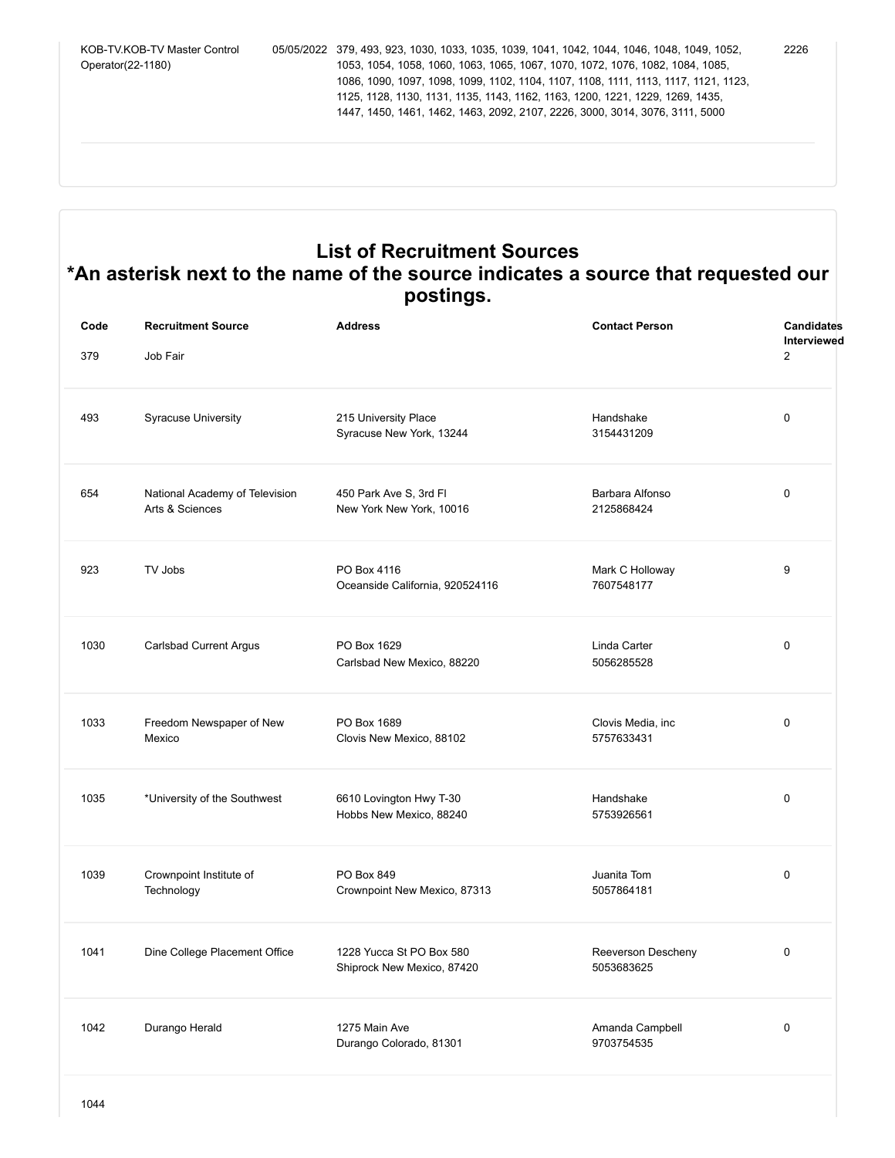KOB-TV.KOB-TV Master Control Operator(22-1180) 05/05/2022 379, 493, 923, 1030, 1033, 1035, 1039, 1041, 1042, 1044, 1046, 1048, 1049, 1052, 1053, 1054, 1058, 1060, 1063, 1065, 1067, 1070, 1072, 1076, 1082, 1084, 1085, 1086, 1090, 1097, 1098, 1099, 1102, 1104, 1107, 1108, 1111, 1113, 1117, 1121, 1123, 1125, 1128, 1130, 1131, 1135, 1143, 1162, 1163, 1200, 1221, 1229, 1269, 1435, 1447, 1450, 1461, 1462, 1463, 2092, 2107, 2226, 3000, 3014, 3076, 3111, 5000 2226

## **List of Recruitment Sources \*An asterisk next to the name of the source indicates a source that requested our postings.**

| Code<br>379 | <b>Recruitment Source</b><br>Job Fair             | <b>Address</b>                                         | <b>Contact Person</b>            | <b>Candidates</b><br>Interviewed<br>$\overline{2}$ |
|-------------|---------------------------------------------------|--------------------------------------------------------|----------------------------------|----------------------------------------------------|
| 493         | <b>Syracuse University</b>                        | 215 University Place<br>Syracuse New York, 13244       | Handshake<br>3154431209          | $\mathbf 0$                                        |
| 654         | National Academy of Television<br>Arts & Sciences | 450 Park Ave S, 3rd Fl<br>New York New York, 10016     | Barbara Alfonso<br>2125868424    | $\Omega$                                           |
| 923         | TV Jobs                                           | PO Box 4116<br>Oceanside California, 920524116         | Mark C Holloway<br>7607548177    | 9                                                  |
| 1030        | Carlsbad Current Argus                            | PO Box 1629<br>Carlsbad New Mexico, 88220              | Linda Carter<br>5056285528       | $\Omega$                                           |
| 1033        | Freedom Newspaper of New<br>Mexico                | PO Box 1689<br>Clovis New Mexico, 88102                | Clovis Media, inc<br>5757633431  | $\mathbf 0$                                        |
| 1035        | *University of the Southwest                      | 6610 Lovington Hwy T-30<br>Hobbs New Mexico, 88240     | Handshake<br>5753926561          | $\Omega$                                           |
| 1039        | Crownpoint Institute of<br>Technology             | PO Box 849<br>Crownpoint New Mexico, 87313             | Juanita Tom<br>5057864181        | $\mathbf 0$                                        |
| 1041        | Dine College Placement Office                     | 1228 Yucca St PO Box 580<br>Shiprock New Mexico, 87420 | Reeverson Descheny<br>5053683625 | $\mathbf 0$                                        |
| 1042        | Durango Herald                                    | 1275 Main Ave<br>Durango Colorado, 81301               | Amanda Campbell<br>9703754535    | $\mathbf 0$                                        |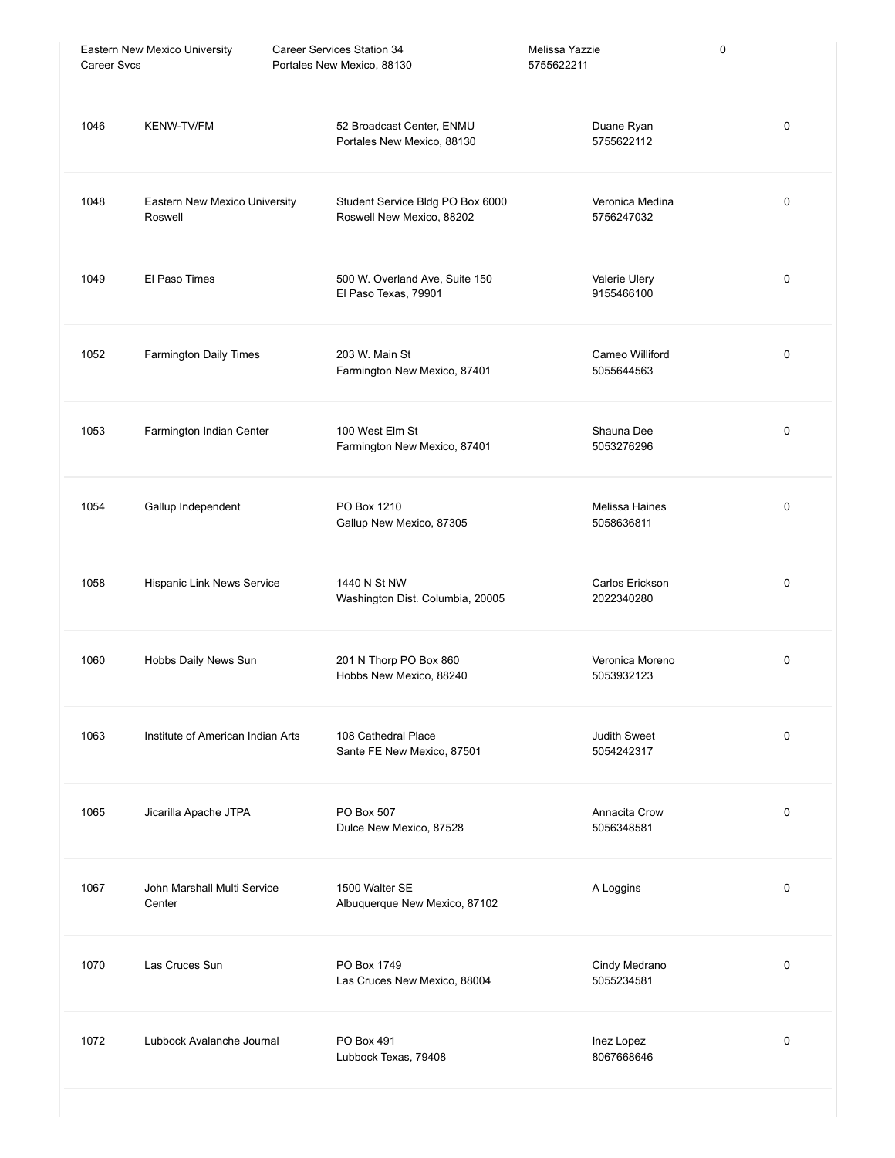| <b>Career Svcs</b> | Eastern New Mexico University            | Career Services Station 34<br>Portales New Mexico, 88130      | Melissa Yazzie<br>5755622211      | 0           |
|--------------------|------------------------------------------|---------------------------------------------------------------|-----------------------------------|-------------|
| 1046               | KENW-TV/FM                               | 52 Broadcast Center, ENMU<br>Portales New Mexico, 88130       | Duane Ryan<br>5755622112          | $\mathbf 0$ |
| 1048               | Eastern New Mexico University<br>Roswell | Student Service Bldg PO Box 6000<br>Roswell New Mexico, 88202 | Veronica Medina<br>5756247032     | 0           |
| 1049               | El Paso Times                            | 500 W. Overland Ave, Suite 150<br>El Paso Texas, 79901        | Valerie Ulery<br>9155466100       | 0           |
| 1052               | Farmington Daily Times                   | 203 W. Main St<br>Farmington New Mexico, 87401                | Cameo Williford<br>5055644563     | 0           |
| 1053               | Farmington Indian Center                 | 100 West Elm St<br>Farmington New Mexico, 87401               | Shauna Dee<br>5053276296          | 0           |
| 1054               | Gallup Independent                       | PO Box 1210<br>Gallup New Mexico, 87305                       | Melissa Haines<br>5058636811      | 0           |
| 1058               | Hispanic Link News Service               | 1440 N St NW<br>Washington Dist. Columbia, 20005              | Carlos Erickson<br>2022340280     | 0           |
| 1060               | Hobbs Daily News Sun                     | 201 N Thorp PO Box 860<br>Hobbs New Mexico, 88240             | Veronica Moreno<br>5053932123     | 0           |
| 1063               | Institute of American Indian Arts        | 108 Cathedral Place<br>Sante FE New Mexico, 87501             | <b>Judith Sweet</b><br>5054242317 | 0           |
| 1065               | Jicarilla Apache JTPA                    | PO Box 507<br>Dulce New Mexico, 87528                         | Annacita Crow<br>5056348581       | $\mathbf 0$ |
| 1067               | John Marshall Multi Service<br>Center    | 1500 Walter SE<br>Albuquerque New Mexico, 87102               | A Loggins                         | 0           |
| 1070               | Las Cruces Sun                           | PO Box 1749<br>Las Cruces New Mexico, 88004                   | Cindy Medrano<br>5055234581       | 0           |
| 1072               | Lubbock Avalanche Journal                | <b>PO Box 491</b><br>Lubbock Texas, 79408                     | Inez Lopez<br>8067668646          | $\mathbf 0$ |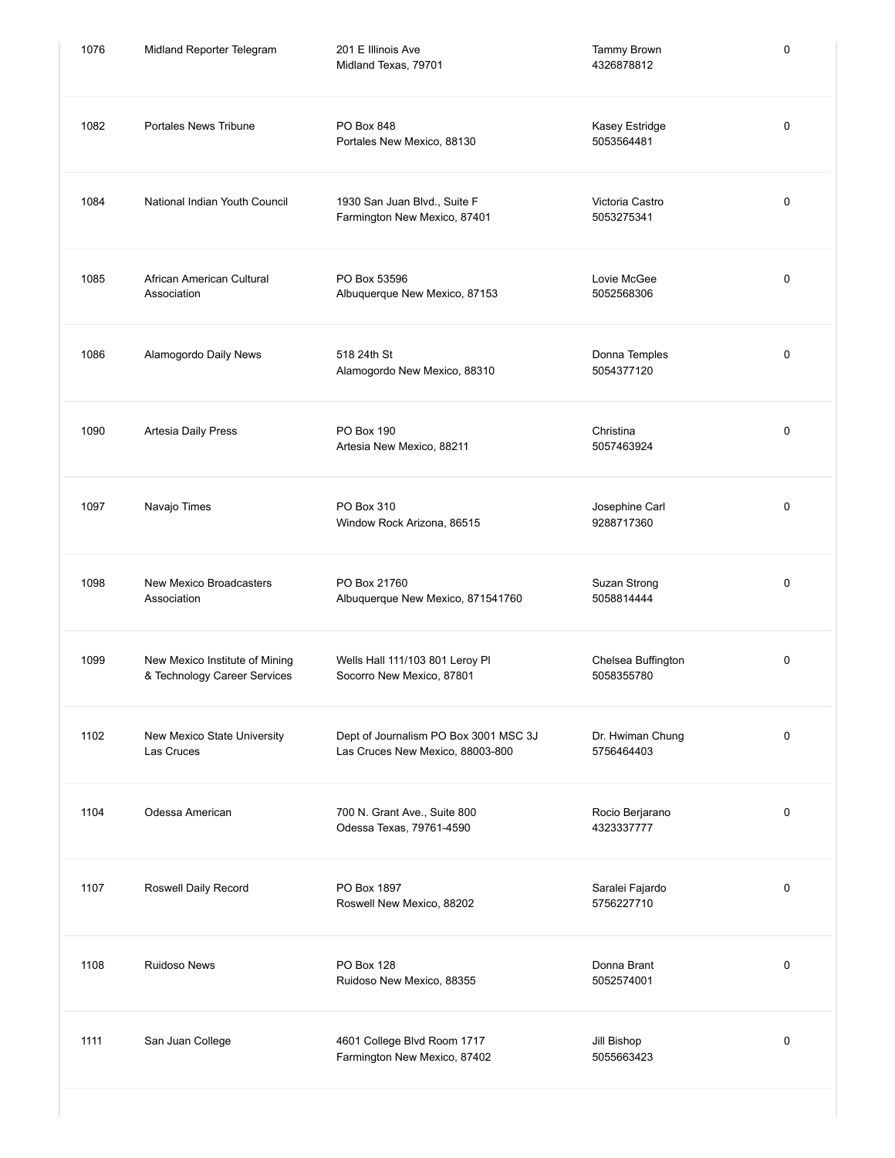| 1076 | Midland Reporter Telegram                                      | 201 E Illinois Ave<br>Midland Texas, 79701                                | Tammy Brown<br>4326878812        | 0 |
|------|----------------------------------------------------------------|---------------------------------------------------------------------------|----------------------------------|---|
| 1082 | Portales News Tribune                                          | PO Box 848<br>Portales New Mexico, 88130                                  | Kasey Estridge<br>5053564481     | 0 |
| 1084 | National Indian Youth Council                                  | 1930 San Juan Blvd., Suite F<br>Farmington New Mexico, 87401              | Victoria Castro<br>5053275341    | 0 |
| 1085 | African American Cultural<br>Association                       | PO Box 53596<br>Albuquerque New Mexico, 87153                             | Lovie McGee<br>5052568306        | 0 |
| 1086 | Alamogordo Daily News                                          | 518 24th St<br>Alamogordo New Mexico, 88310                               | Donna Temples<br>5054377120      | 0 |
| 1090 | Artesia Daily Press                                            | PO Box 190<br>Artesia New Mexico, 88211                                   | Christina<br>5057463924          | 0 |
| 1097 | Navajo Times                                                   | PO Box 310<br>Window Rock Arizona, 86515                                  | Josephine Carl<br>9288717360     | 0 |
| 1098 | New Mexico Broadcasters<br>Association                         | PO Box 21760<br>Albuquerque New Mexico, 871541760                         | Suzan Strong<br>5058814444       | 0 |
| 1099 | New Mexico Institute of Mining<br>& Technology Career Services | Wells Hall 111/103 801 Leroy Pl<br>Socorro New Mexico, 87801              | Chelsea Buffington<br>5058355780 | 0 |
| 1102 | New Mexico State University<br>Las Cruces                      | Dept of Journalism PO Box 3001 MSC 3J<br>Las Cruces New Mexico, 88003-800 | Dr. Hwiman Chung<br>5756464403   | 0 |
| 1104 | Odessa American                                                | 700 N. Grant Ave., Suite 800<br>Odessa Texas, 79761-4590                  | Rocio Berjarano<br>4323337777    | 0 |
| 1107 | Roswell Daily Record                                           | PO Box 1897<br>Roswell New Mexico, 88202                                  | Saralei Fajardo<br>5756227710    | 0 |
| 1108 | <b>Ruidoso News</b>                                            | <b>PO Box 128</b><br>Ruidoso New Mexico, 88355                            | Donna Brant<br>5052574001        | 0 |
| 1111 | San Juan College                                               | 4601 College Blvd Room 1717<br>Farmington New Mexico, 87402               | Jill Bishop<br>5055663423        | 0 |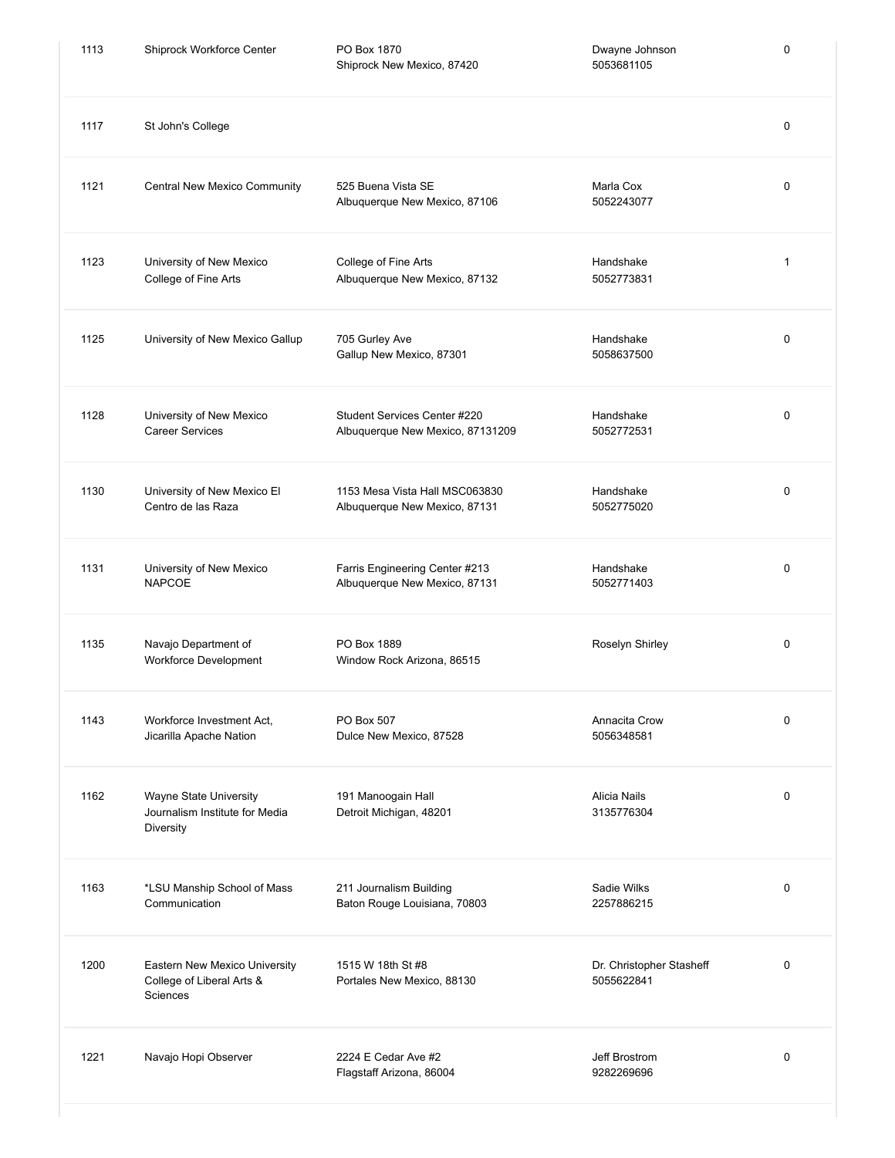| 1113 | Shiprock Workforce Center                                              | PO Box 1870<br>Shiprock New Mexico, 87420                        | Dwayne Johnson<br>5053681105           | $\mathbf 0$ |
|------|------------------------------------------------------------------------|------------------------------------------------------------------|----------------------------------------|-------------|
| 1117 | St John's College                                                      |                                                                  |                                        | $\mathbf 0$ |
| 1121 | Central New Mexico Community                                           | 525 Buena Vista SE<br>Albuquerque New Mexico, 87106              | Marla Cox<br>5052243077                | $\pmb{0}$   |
| 1123 | University of New Mexico<br>College of Fine Arts                       | College of Fine Arts<br>Albuquerque New Mexico, 87132            | Handshake<br>5052773831                | 1           |
| 1125 | University of New Mexico Gallup                                        | 705 Gurley Ave<br>Gallup New Mexico, 87301                       | Handshake<br>5058637500                | $\mathbf 0$ |
| 1128 | University of New Mexico<br><b>Career Services</b>                     | Student Services Center #220<br>Albuquerque New Mexico, 87131209 | Handshake<br>5052772531                | $\mathbf 0$ |
| 1130 | University of New Mexico El<br>Centro de las Raza                      | 1153 Mesa Vista Hall MSC063830<br>Albuquerque New Mexico, 87131  | Handshake<br>5052775020                | $\mathbf 0$ |
| 1131 | University of New Mexico<br><b>NAPCOE</b>                              | Farris Engineering Center #213<br>Albuquerque New Mexico, 87131  | Handshake<br>5052771403                | $\mathbf 0$ |
| 1135 | Navajo Department of<br>Workforce Development                          | PO Box 1889<br>Window Rock Arizona, 86515                        | Roselyn Shirley                        | $\mathbf 0$ |
| 1143 | Workforce Investment Act,<br>Jicarilla Apache Nation                   | PO Box 507<br>Dulce New Mexico, 87528                            | Annacita Crow<br>5056348581            | 0           |
| 1162 | Wayne State University<br>Journalism Institute for Media<br>Diversity  | 191 Manoogain Hall<br>Detroit Michigan, 48201                    | Alicia Nails<br>3135776304             | $\mathbf 0$ |
| 1163 | *LSU Manship School of Mass<br>Communication                           | 211 Journalism Building<br>Baton Rouge Louisiana, 70803          | Sadie Wilks<br>2257886215              | $\mathbf 0$ |
| 1200 | Eastern New Mexico University<br>College of Liberal Arts &<br>Sciences | 1515 W 18th St #8<br>Portales New Mexico, 88130                  | Dr. Christopher Stasheff<br>5055622841 | $\mathbf 0$ |
| 1221 | Navajo Hopi Observer                                                   | 2224 E Cedar Ave #2<br>Flagstaff Arizona, 86004                  | Jeff Brostrom<br>9282269696            | $\mathbf 0$ |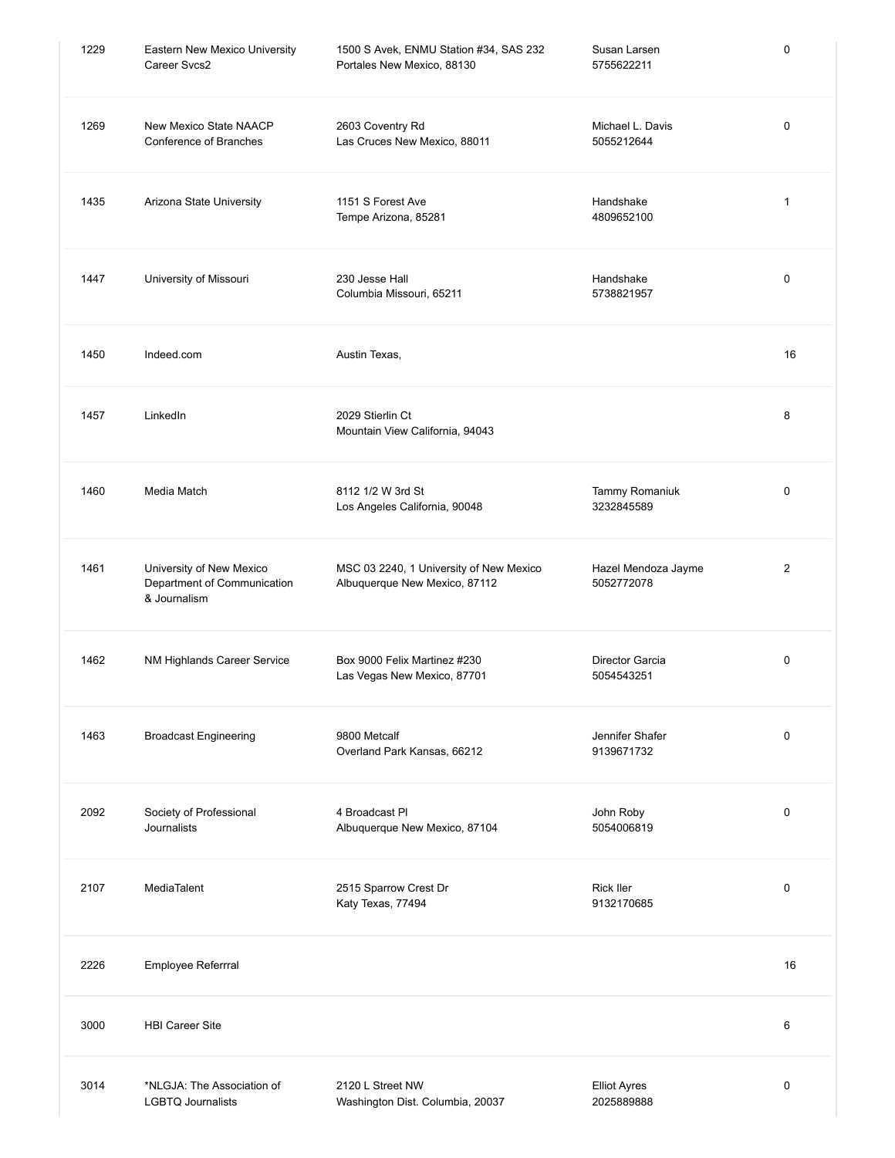| 1229 | Eastern New Mexico University<br>Career Svcs2                           | 1500 S Avek, ENMU Station #34, SAS 232<br>Portales New Mexico, 88130     | Susan Larsen<br>5755622211        | 0            |
|------|-------------------------------------------------------------------------|--------------------------------------------------------------------------|-----------------------------------|--------------|
| 1269 | New Mexico State NAACP<br>Conference of Branches                        | 2603 Coventry Rd<br>Las Cruces New Mexico, 88011                         | Michael L. Davis<br>5055212644    | 0            |
| 1435 | Arizona State University                                                | 1151 S Forest Ave<br>Tempe Arizona, 85281                                | Handshake<br>4809652100           | 1            |
| 1447 | University of Missouri                                                  | 230 Jesse Hall<br>Columbia Missouri, 65211                               | Handshake<br>5738821957           | 0            |
| 1450 | Indeed.com                                                              | Austin Texas,                                                            |                                   | 16           |
| 1457 | LinkedIn                                                                | 2029 Stierlin Ct<br>Mountain View California, 94043                      |                                   | 8            |
| 1460 | Media Match                                                             | 8112 1/2 W 3rd St<br>Los Angeles California, 90048                       | Tammy Romaniuk<br>3232845589      | 0            |
| 1461 | University of New Mexico<br>Department of Communication<br>& Journalism | MSC 03 2240, 1 University of New Mexico<br>Albuquerque New Mexico, 87112 | Hazel Mendoza Jayme<br>5052772078 | $\mathbf{2}$ |
| 1462 | NM Highlands Career Service                                             | Box 9000 Felix Martinez #230<br>Las Vegas New Mexico, 87701              | Director Garcia<br>5054543251     | 0            |
| 1463 | <b>Broadcast Engineering</b>                                            | 9800 Metcalf<br>Overland Park Kansas, 66212                              | Jennifer Shafer<br>9139671732     | 0            |
| 2092 | Society of Professional<br>Journalists                                  | 4 Broadcast Pl<br>Albuquerque New Mexico, 87104                          | John Roby<br>5054006819           | 0            |
| 2107 | <b>MediaTalent</b>                                                      | 2515 Sparrow Crest Dr<br>Katy Texas, 77494                               | <b>Rick Iler</b><br>9132170685    | 0            |
| 2226 | Employee Referrral                                                      |                                                                          |                                   | 16           |
| 3000 | <b>HBI Career Site</b>                                                  |                                                                          |                                   | 6            |
| 3014 | *NLGJA: The Association of<br><b>LGBTQ Journalists</b>                  | 2120 L Street NW<br>Washington Dist. Columbia, 20037                     | <b>Elliot Ayres</b><br>2025889888 | 0            |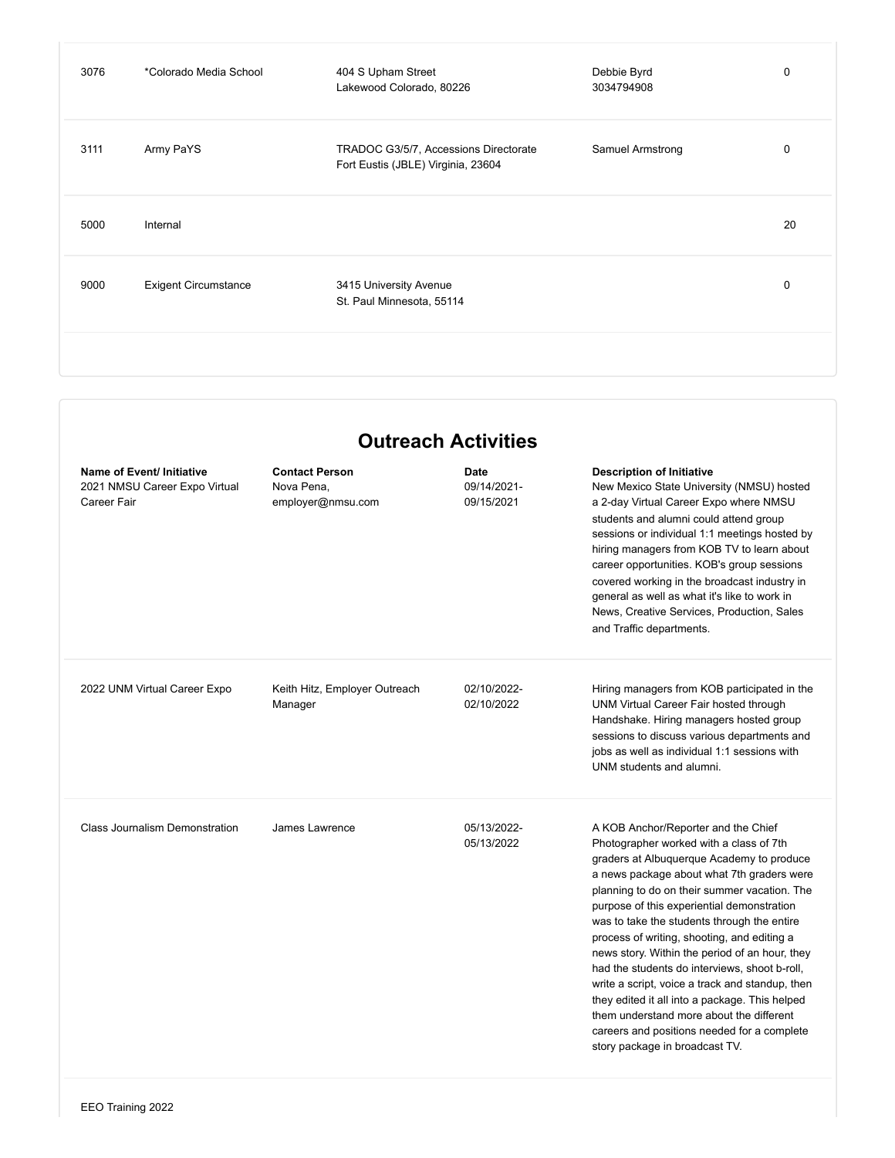| 3076 | *Colorado Media School      | 404 S Upham Street<br>Lakewood Colorado, 80226                              | Debbie Byrd<br>3034794908 | $\mathbf 0$ |
|------|-----------------------------|-----------------------------------------------------------------------------|---------------------------|-------------|
| 3111 | Army PaYS                   | TRADOC G3/5/7, Accessions Directorate<br>Fort Eustis (JBLE) Virginia, 23604 | <b>Samuel Armstrong</b>   | 0           |
| 5000 | Internal                    |                                                                             |                           | 20          |
| 9000 | <b>Exigent Circumstance</b> | 3415 University Avenue<br>St. Paul Minnesota, 55114                         |                           | 0           |
|      |                             |                                                                             |                           |             |

## **Outreach Activities**

| Name of Event/ Initiative<br>2021 NMSU Career Expo Virtual<br>Career Fair | <b>Contact Person</b><br>Nova Pena.<br>employer@nmsu.com | Date<br>09/14/2021-<br>09/15/2021 | <b>Description of Initiative</b><br>New Mexico State University (NMSU) hosted<br>a 2-day Virtual Career Expo where NMSU<br>students and alumni could attend group<br>sessions or individual 1:1 meetings hosted by<br>hiring managers from KOB TV to learn about<br>career opportunities. KOB's group sessions<br>covered working in the broadcast industry in<br>general as well as what it's like to work in<br>News, Creative Services, Production, Sales<br>and Traffic departments.                                                                                                                                                                                                                   |
|---------------------------------------------------------------------------|----------------------------------------------------------|-----------------------------------|------------------------------------------------------------------------------------------------------------------------------------------------------------------------------------------------------------------------------------------------------------------------------------------------------------------------------------------------------------------------------------------------------------------------------------------------------------------------------------------------------------------------------------------------------------------------------------------------------------------------------------------------------------------------------------------------------------|
| 2022 UNM Virtual Career Expo                                              | Keith Hitz, Employer Outreach<br>Manager                 | 02/10/2022-<br>02/10/2022         | Hiring managers from KOB participated in the<br>UNM Virtual Career Fair hosted through<br>Handshake. Hiring managers hosted group<br>sessions to discuss various departments and<br>jobs as well as individual 1:1 sessions with<br>UNM students and alumni.                                                                                                                                                                                                                                                                                                                                                                                                                                               |
| <b>Class Journalism Demonstration</b>                                     | James Lawrence                                           | 05/13/2022-<br>05/13/2022         | A KOB Anchor/Reporter and the Chief<br>Photographer worked with a class of 7th<br>graders at Albuquerque Academy to produce<br>a news package about what 7th graders were<br>planning to do on their summer vacation. The<br>purpose of this experiential demonstration<br>was to take the students through the entire<br>process of writing, shooting, and editing a<br>news story. Within the period of an hour, they<br>had the students do interviews, shoot b-roll,<br>write a script, voice a track and standup, then<br>they edited it all into a package. This helped<br>them understand more about the different<br>careers and positions needed for a complete<br>story package in broadcast TV. |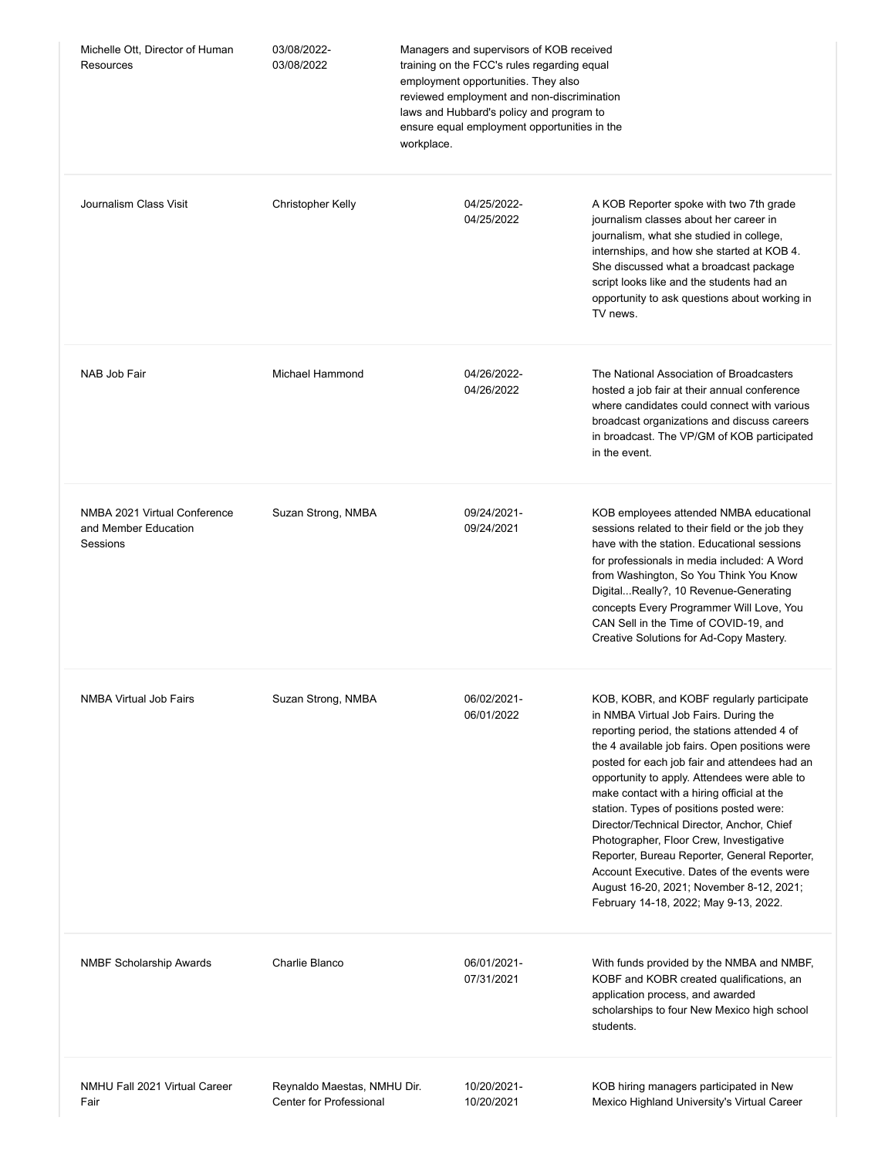| Michelle Ott, Director of Human<br>Resources                     | 03/08/2022-<br>03/08/2022                              | Managers and supervisors of KOB received<br>training on the FCC's rules regarding equal<br>employment opportunities. They also<br>reviewed employment and non-discrimination<br>laws and Hubbard's policy and program to<br>ensure equal employment opportunities in the<br>workplace. |                                                                                                                                                                                                                                                                                                                                                                                                                                                                                                                                                                                                                                                              |
|------------------------------------------------------------------|--------------------------------------------------------|----------------------------------------------------------------------------------------------------------------------------------------------------------------------------------------------------------------------------------------------------------------------------------------|--------------------------------------------------------------------------------------------------------------------------------------------------------------------------------------------------------------------------------------------------------------------------------------------------------------------------------------------------------------------------------------------------------------------------------------------------------------------------------------------------------------------------------------------------------------------------------------------------------------------------------------------------------------|
| Journalism Class Visit                                           | <b>Christopher Kelly</b>                               | 04/25/2022-<br>04/25/2022                                                                                                                                                                                                                                                              | A KOB Reporter spoke with two 7th grade<br>journalism classes about her career in<br>journalism, what she studied in college,<br>internships, and how she started at KOB 4.<br>She discussed what a broadcast package<br>script looks like and the students had an<br>opportunity to ask questions about working in<br>TV news.                                                                                                                                                                                                                                                                                                                              |
| NAB Job Fair                                                     | <b>Michael Hammond</b>                                 | 04/26/2022-<br>04/26/2022                                                                                                                                                                                                                                                              | The National Association of Broadcasters<br>hosted a job fair at their annual conference<br>where candidates could connect with various<br>broadcast organizations and discuss careers<br>in broadcast. The VP/GM of KOB participated<br>in the event.                                                                                                                                                                                                                                                                                                                                                                                                       |
| NMBA 2021 Virtual Conference<br>and Member Education<br>Sessions | Suzan Strong, NMBA                                     | 09/24/2021-<br>09/24/2021                                                                                                                                                                                                                                                              | KOB employees attended NMBA educational<br>sessions related to their field or the job they<br>have with the station. Educational sessions<br>for professionals in media included: A Word<br>from Washington, So You Think You Know<br>DigitalReally?, 10 Revenue-Generating<br>concepts Every Programmer Will Love, You<br>CAN Sell in the Time of COVID-19, and<br>Creative Solutions for Ad-Copy Mastery.                                                                                                                                                                                                                                                  |
| NMBA Virtual Job Fairs                                           | Suzan Strong, NMBA                                     | 06/02/2021-<br>06/01/2022                                                                                                                                                                                                                                                              | KOB, KOBR, and KOBF regularly participate<br>in NMBA Virtual Job Fairs. During the<br>reporting period, the stations attended 4 of<br>the 4 available job fairs. Open positions were<br>posted for each job fair and attendees had an<br>opportunity to apply. Attendees were able to<br>make contact with a hiring official at the<br>station. Types of positions posted were:<br>Director/Technical Director, Anchor, Chief<br>Photographer, Floor Crew, Investigative<br>Reporter, Bureau Reporter, General Reporter,<br>Account Executive. Dates of the events were<br>August 16-20, 2021; November 8-12, 2021;<br>February 14-18, 2022; May 9-13, 2022. |
| <b>NMBF Scholarship Awards</b>                                   | Charlie Blanco                                         | 06/01/2021-<br>07/31/2021                                                                                                                                                                                                                                                              | With funds provided by the NMBA and NMBF,<br>KOBF and KOBR created qualifications, an<br>application process, and awarded<br>scholarships to four New Mexico high school<br>students.                                                                                                                                                                                                                                                                                                                                                                                                                                                                        |
| NMHU Fall 2021 Virtual Career<br>Fair                            | Reynaldo Maestas, NMHU Dir.<br>Center for Professional | 10/20/2021-<br>10/20/2021                                                                                                                                                                                                                                                              | KOB hiring managers participated in New<br>Mexico Highland University's Virtual Career                                                                                                                                                                                                                                                                                                                                                                                                                                                                                                                                                                       |